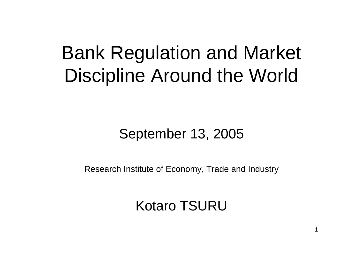# Bank Regulation and Market Discipline Around the World

### September 13, 2005

Research Institute of Economy, Trade and Industry

Kotaro TSURU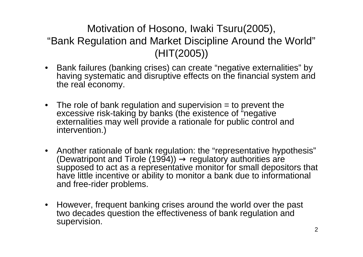### Motivation of Hosono, Iwaki Tsuru(2005), "Bank Regulation and Market Discipline Around the World" (HIT(2005))

- Bank failures (banking crises) can create "negative externalities" by having systematic and disruptive effects on the financial system and the real economy.
- The role of bank regulation and supervision = to prevent the excessive risk-taking by banks (the existence of "negative externalities may well provide a rationale for public control and intervention.)
- Another rationale of bank regulation: the "representative hypothesis" (Dewatripont and Tirole (1994)) regulatory authorities are supposed to act as a representative monitor for small depositors that have little incentive or ability to monitor a bank due to informational and free-rider problems.
- $\bullet$ However, frequent banking crises around the world over the past two decades question the effectiveness of bank regulation and supervision.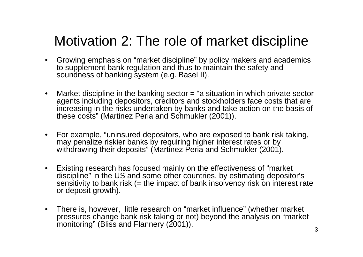### Motivation 2: The role of market discipline

- Growing emphasis on "market discipline" by policy makers and academics to supplement bank regulation and thus to maintain the safety and soundness of banking system (e.g. Basel II).
- $\bullet$ Market discipline in the banking sector = "a situation in which private sector agents including depositors, creditors and stockholders face costs that are increasing in the risks undertaken by banks and take action on the basis of these costs" (Martinez Peria and Schmukler (2001)).
- $\bullet$ For example, "uninsured depositors, who are exposed to bank risk taking, may penalize riskier banks by requiring higher interest rates or by withdrawing their deposits" (Martinez Peria and Schmukler (2001).
- $\bullet$ Existing research has focused mainly on the effectiveness of "market discipline" in the US and some other countries, by estimating depositor's sensitivity to bank risk (= the impact of bank insolvency risk on interest rate or deposit growth).
- $\bullet$ There is, however, little research on "market influence" (whether market pressures change bank risk taking or not) beyond the analysis on "market monitoring" (Bliss and Flannery (2001)).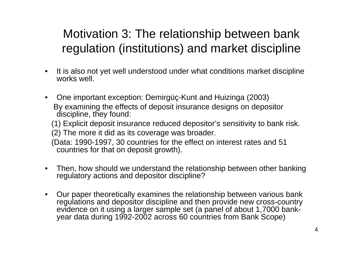### Motivation 3: The relationship between bank regulation (institutions) and market discipline

- • It is also not yet well understood under what conditions market discipline works well.
- $\bullet$ One important exception: Demirgüç-Kunt and Huizinga (2003) By examining the effects of deposit insurance designs on depositor discipline, they found: (1) Explicit deposit insurance reduced depositor's sensitivity to bank risk. (2) The more it did as its coverage was broader. (Data: 1990-1997, 30 countries for the effect on interest rates and 51 countries for that on deposit growth).
- •Then, how should we understand the relationship between other banking regulatory actions and depositor discipline?
- •Our paper theoretically examines the relationship between various bank regulations and depositor discipline and then provide new cross-country evidence on it using a larger sample set (a panel of about 1,7000 bankyear data during 1992-2002 across 60 countries from Bank Scope)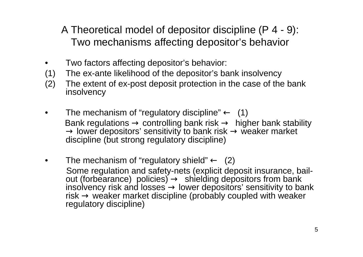A Theoretical model of depositor discipline (P 4 - 9): Two mechanisms affecting depositor's behavior

- •Two factors affecting depositor's behavior:
- (1) The ex-ante likelihood of the depositor's bank insolvency
- (2) The extent of ex-post deposit protection in the case of the bank insolvency
- •The mechanism of "regulatory discipline" (1) Bank regulations controlling bank risk higher bank stability<br>lower depositors' sensitivity to bank risk weaker market lower depositors' sensitivity to bank risk discipline (but strong regulatory discipline)
- •The mechanism of "regulatory shield" (2) Some regulation and safety-nets (explicit deposit insurance, bailout (forbearance) policies) shielding depositors from bank ins olvency risk and losses lower depositors' sensitivity to bank risk weaker market discipline (probably coupled with weaker regulatory discipline)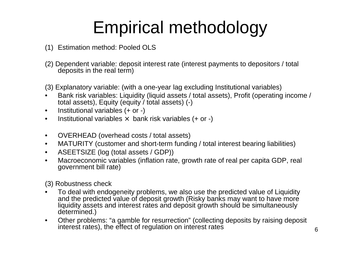## Empirical methodology

- (1) Estimation method: Pooled OLS
- (2) Dependent variable: deposit interest rate (interest payments to depositors / total deposits in the real ter m)
- (3) Explanatory variable: (with a one-year lag excluding Institutional variables)
- •Bank risk variables: Liquidity (liquid assets / total assets), Profit (operating income / total assets), Equity (equity / total assets) (-)
- $\bullet$ Institutional variables (+ or -)
- •• Institutional variables × bank risk variables (+ or -)
- $\bullet$ OVERHEAD (overhead costs / total assets)
- •MATURITY (customer and short-term funding / total interest bearing liabilities)
- •• ASEETSIZE (log (total assets / GDP))
- •Macroeconomic variables (inflation rate, growth r ate of real per capita GDP, real government bill rate)

(3) Robustness check

- •To deal with endogeneity problems, we also use the predicted value of Liquidity and the predicted value of deposit growth (Risky banks may want to have more liquidity assets and interest rates and deposit growth should be simultaneously determined.)
- •Other problems: "a gamble for resurrection" (collecting deposits by raising deposit interest rates), the effect of regulation on interest rates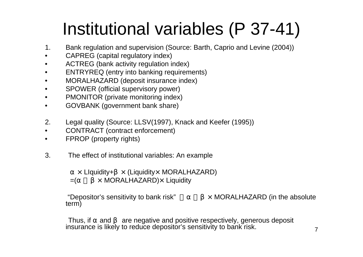## Institutional variables (P 37-41)

- 1.Bank regulation and supervision (Source: Barth, Caprio and Levine (2004))
- •CAPREG (capital regulatory index)
- •ACTREG (bank activity regulation index)
- $\bullet$ ENTRYREQ (entry into banking requirements)
- $\bullet$ MORALHAZARD (deposit insurance index)
- •SPOWER (official supervisory power)
- $\bullet$ PMONITOR (private monitoring index)
- •GOVBANK (government bank share)
- 2.Legal quality (Source: LLSV(1997), Knack and Keefer (1995))
- $\bullet$ CONTRACT (contract enforcement)
- •FPROP (property rights)
- 3. The effect of institutional variables: An example

× LIquidity+ × (Liquidity× MORALHAZARD)

=(α+β<sup>×</sup>MORALHA ZARD) <sup>×</sup>Liquidity

"Depositor's sensitivity to bank risk" term)

HAZ A R D (in the absol ute

Thus, if and are negative and positive respectively, generous deposit insurance is likely to reduce depositor's sensitivity to bank risk.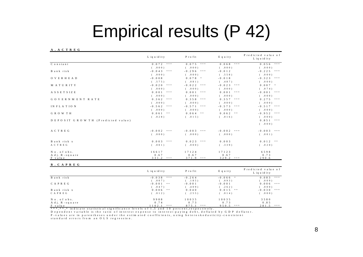## Empirical results (P 42)

### **A . A C T R E G**

|                                  | L iq u id it y       | P r o fit                                                               | E q u it y              | Predicted value of<br>L iq u id it y |
|----------------------------------|----------------------|-------------------------------------------------------------------------|-------------------------|--------------------------------------|
| C o n s t a n t                  | $0.072$ ***          | $0.075$ ***                                                             | 0.068<br>* * *          | 0.056                                |
|                                  | ( .000)              | ( .000)                                                                 | (. 0 0 0)               | ( .000)                              |
| B ank risk                       | $-0.043$ ***         | $-0.296$ ***                                                            | $-0.012$                | $-0.225$<br>$* * *$                  |
|                                  | ( .000)              | ( .000)                                                                 | (.558)                  | ( .000)                              |
| <b>OVERHEAD</b>                  | $-0.008$             | $0.078$ *                                                               | $-0.018$                | $-0.323$<br>$* * *$                  |
|                                  | (.575)               | (.081)                                                                  | (.487)                  | ( .000)                              |
| MATURITY                         | $-0.020$<br>* * *    | $-0.022$<br>$* * *$                                                     | $-0.023$ ***            | $0.007$ *                            |
|                                  | ( .000)              | (. 0 0 0)                                                               | (.000)                  | (.074)                               |
| ASSETSIZE                        | $0.001$ ***          | $0.001$ ***                                                             | $0.001$ ***             | $-0.001$ ***                         |
|                                  | ( .000)              | ( .000)                                                                 | ( .000)                 | ( .000)                              |
| GOVERNMENT RATE                  | 0.362<br>* * *       | 0.358<br>$* * *$                                                        | $0.357$ ***             | $* * *$<br>0.275                     |
|                                  | ( .000)              | (.000)                                                                  | ( .000)                 | ( .000)                              |
| IN FLATION                       | $-0.562$ ***         | $-0.571$ ***                                                            | $-0.573$ ***            | $-0.517$<br>$* * *$                  |
|                                  | ( .000)              | ( .000)                                                                 | ( .000)                 | ( .000)                              |
| GROWTH                           | $0.061$ **           | $0.064$ **                                                              | $0.062$ **              | $-0.952$<br>$* * *$                  |
|                                  | (.028)               | (.015)                                                                  | (.016)                  | ( .000)                              |
| DEPOSIT GROWTH (Predicted value) |                      |                                                                         |                         | $0.851***$                           |
|                                  |                      |                                                                         |                         | ( .000)                              |
| A C T R E G                      | $-0.002$ ***         | $-0.003$ ***                                                            | $-0.002$ ***            | $* * *$<br>$-0.003$                  |
|                                  | ( .000)              | ( .000)                                                                 | (. 0 0 0)               | ( .001)                              |
| B ank risk x                     | $0.003$ ***          | 0.023<br>$\qquad$ $\qquad$ $\qquad$ $\qquad$ $\qquad$ $\qquad$ $\qquad$ | 0.003                   | $0.012$ **                           |
| A C T R E G                      | (. 0 0 1)            | ( .000)                                                                 | (.339)                  | ( .020)                              |
| No. of obs.                      | 16617                | 17124                                                                   | 17123                   | 6598                                 |
| A dj. R-square                   | 0.67                 | 0.67                                                                    | 0.67                    | 0.73                                 |
| F value                          | 3 3 1 . 2 ***        | $371.9$ ***                                                             | $329.2$ ***             | 290.6                                |
| <b>B. CAPREG</b>                 |                      |                                                                         |                         |                                      |
|                                  | L iq u id it y       | P r o fit                                                               | E q u it y              | Predicted value of<br>L iq u id it y |
| B ank risk                       | $-0.038$<br>* * *    | $-0.264$                                                                | $-0.066$ *              | 0.083<br>$\ast\ast\ast$              |
|                                  | (.007)               | (.185)                                                                  | (.093)                  | (. 009)                              |
| CAPREG                           | $-0.001$ **          | $-0.001$                                                                | $-0.001$                | 0.006<br>$\ast\ast\ast$              |
|                                  | (.047)               | (.409)                                                                  | (.262)                  | ( .000)                              |
| Bankrisk x<br>CAPREG             | $0.006$ **<br>(.012) | 0.040<br>(.255)                                                         | $0.015$ **<br>$(-.014)$ | $-0.030***$<br>( .000)               |
|                                  |                      |                                                                         |                         |                                      |
| No. of obs.                      | 9988                 | 1 0 0 3 5                                                               | 1 0 0 3 5               | 3580                                 |

F vF value 1102.1 \*\*\* 875.1 \*\*\* 875.1 \*\*\* .<br>\*\*\*,\*\*,\* indicate statistical significance levels of 1,5 and 10 percent,respectively.  $875.1$  \*\*\* 950.5 \*\*\* 281.5 \*\*\*

D e p e n d e n t v a riable is the ratio of interest expense to interest-paying debt, deflated by GDP deflator.

A dj. R-square 0.85 0.85  $0.74$  0.73 0.85

P -values are in parentheses under the estim ated coefficients, using heteroskedasticity -consistent standard errors from an OLS regression.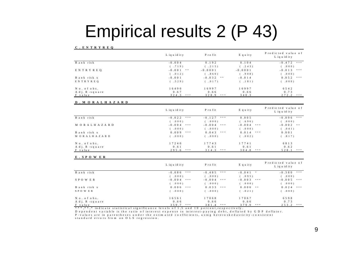## Empirical results 2 (P 43)

### **C . EN T R YREQ**

|               | L iq u id it y      | Profit         | Equity    | Predicted value of<br>L iq u id it y |
|---------------|---------------------|----------------|-----------|--------------------------------------|
| Bankrisk      | $-0.004$            | 0.192          | 0.104     | $-0.472$ ***                         |
|               | (.719)              | (.215)         | (.243)    | (000)                                |
| ENTRYREO      | $-0.001$ **         | $-0.0001$      | $-0.0001$ | $-0.013$<br>$* * *$                  |
|               | (0.012)             | (.860)         | (.908)    | 000)                                 |
| Bankrisk x    | $-0.001$            | $-0.032$ **    | $-0.014$  | $0.052$ ***                          |
| ENTRYREO      | (.529)              | (.017)         | (.181)    | .000)                                |
| No. of obs.   | 16490               | 16997          | 16997     | 6 5 4 2                              |
| Adj. R-square | 0.67                | 0.66           | 0.66      | 0.73                                 |
| F value       | 3 2 4 .3<br>$* * *$ | 328.9<br>* * * | 340.3     | 272.2<br>* * *                       |

### **D . M O R A L H A Z A R D**

|               | L iq u id it y    | P r o f it          | E q u it y   | Predicted value of<br>L ig u id it y |
|---------------|-------------------|---------------------|--------------|--------------------------------------|
| B ank risk    | $-0.022$ ***      | $-0.127$<br>$* * *$ | 0.005        | $-0.096$ ***                         |
|               | (0.000)           | (0.00)              | (.696)       | ( .000)                              |
| MORALHAZARD   | $-0.004$<br>* * * | $-0.004$ ***        | $-0.004$ *** | $-0.002$ **                          |
|               | (0.000)           | (0.001)             | ( .000)      | (.041)                               |
| Bankrisk x    | 0.009<br>* * *    | $0.043$ ***         | $0.014$ ***  | 0.001                                |
| MORALHAZARD   | (0,0,0,0)         | (0, 0, 0)           | ( .002)      | (.817)                               |
| No. of obs.   | 17240             | 17743               | 17741        | 6813                                 |
| Adj. R-square | 0.61              | 0.61                | 0.61         | 0.62                                 |
| F value       | 295.6<br>* * *    | 3 1 4 .3<br>* * *   | $304.8$ ***  | 528.1<br>* * *                       |

### **E . S P O WE R**

|               | L iq u id it y      | Profit         | Equity       | Predicted value of<br>L iq u id it y |
|---------------|---------------------|----------------|--------------|--------------------------------------|
| Bankrisk      | $-0.086$ ***        | $-0.485$ ***   | $-0.041$ *   | $-0.380$ ***                         |
|               | ( .000)             | (0, 0, 0)      | (.095)       | .000)                                |
| SPOWER        | $-0.004$<br>$* * *$ | $-0.004$ ***   | $-0.003$ *** | $-0.005$<br>* * *                    |
|               | ( .000)             | (0, 0, 0)      | (.000)       | .000)                                |
| Bankrisk x    | 0.006<br>$* * *$    | $0.033$ ***    | $0.006$ **   | $0.024$ ***                          |
| SPOW ER       | ( .000)             | (.000)         | (.021)       | .000)                                |
| No. of obs.   | 16561               | 17068          | 17067        | 6598                                 |
| Adj. R-square | 0.66                | 0.66           | 0.66         | 0.73                                 |
| F value       | 359.7<br>* * *      | 381.4<br>* * * | $379.9$ ***  | 2 5 3 . 2<br>* * *                   |

\* \* \* , \* \* , \* indicate statistical significance levels of 1 ,5 and 10 percent, respectively .

P - v a lu e s are in parentheses under the estim ated coefficients, using heterosked asticity - consistent standard errors from an OLS regression. D e p e n d e n t v a riable is the ratio of interest expense to interest-paying debt, deflated by GDP deflator.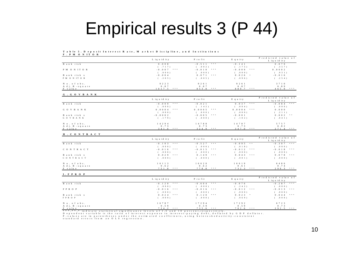### Empirical results 3 (P 44)

### Table 5. Deposit Interest Rate, Market Discipline, and Institutions

**F . PM O N I T O R**

|               | L iq u id it y | P r o f it   | Equity       | Predicted value of<br>L iq u id it y |
|---------------|----------------|--------------|--------------|--------------------------------------|
| B ank risk    | 0.008          | $-0.511$ *** | $-0.141$     | 0.079                                |
|               | ( .717)        | ( .0 0 2 )   | (175)        | (.357)                               |
| PM ONITOR     | $-0.007$ ***   | $-0.010$ *** | $-0.009$ *** | 0.0002                               |
|               | ( .000)        | ( .0 0 0 )   | ( .0 0 0 )   | (.931)                               |
| Bankrisk x    | $-0.004$       | $0.071$ ***  | $0.026$ *    | $-0.016$                             |
| PM ONITOR     | (.205)         | ( .005)      | ( .096)      | (.254)                               |
| No. of obs.   | 9 2 2 3        | 9 2 6 1      | 9 2 6 1      | 3 7 1 0                              |
| Adj. R-square | 0.87           | 0.87         | 0.87         | 0.89                                 |
| F value       | 017.5<br>* * * | $853.8$ ***  | 889.7 ***    | $465.9$ ***                          |

### **G . G O V B A N K**

|                | L iq u id it y  | P r o f it         | Equity                 | Predicted value of<br>L iquid ity |
|----------------|-----------------|--------------------|------------------------|-----------------------------------|
| B ank risk     | $-0.009$ ***    | $-0.021$           | $0.037***$             | $-0.084$ ***                      |
|                | ( .000)         | $(-.142)$          | ( .004)                | ( .0 0 0 )                        |
| GOVBANK        | $0.0004$ ***    | $0.0005$ ***       | 0.0004<br>$-8 - 8 - 8$ | 0.000                             |
|                | ( .000)         | ( .0 0 0 )         | ( .0 0 0 )             | (.211)                            |
| Bankrisk x     | $-0.0002$       | $-0.005$ ***       | $-0.001$               | $0.002$ **                        |
| <b>GOVBANK</b> | (179)           | ( .0 0 0 )         | (102)                  | ( .041)                           |
| No. of obs.    | 1 4 2 9 4       | 14788              | 14787                  | 5 7 5 7                           |
| Adj. R-square  | 0.73            | 0.73               | 0.73                   | 0.82                              |
| F value        | 341.6<br>$-888$ | 3 2 4 .9<br>$-888$ | $347.0$ ***            | 271.4<br>* * *                    |

### **H . CO N T R A C T**

|               | L iq u id it y | P r o f it   | Equity                   | Predicted value of<br>L iq u id it y |
|---------------|----------------|--------------|--------------------------|--------------------------------------|
| B ank risk    | $-0.103$ ***   | $-0.527$ *** | $-0.095$ **              | $-0.307$ ***                         |
|               | ( .000)        | ( .0 0 0 )   | (. 018)                  | ( .000)                              |
| CONTRACT      | $-0.016$ ***   | $-0.015$ *** | $-0.012$<br>$-8 - 8 - 8$ | $-0.018$<br>* * *                    |
|               | ( .000)        | ( .0 0 0 )   | ( .0 0 0 )               | ( .000)                              |
| Bankrisk x    | $0.029$ ***    | $0.149$ ***  | $0.043$ ***              | 0.078<br>* * *                       |
| CONTRACT      | ( .0 0 0 )     | ( .0 0 0 )   | ( .001)                  | (0, 0, 0, 0)                         |
| No. of obs.   | 16113          | 16620        | 16619                    | 6 4 8 6                              |
| Adj. R-square | 0.62           | 0.62         | 0.61                     | 0.74                                 |
| F value       | 751.8<br>888   | $778.8$ ***  | $732.3$ ***              | $298.3$ ***                          |

### **I . F P R O P**

|               | L iq u id it y     | P r o f it        | E q u it y   | Predicted value of<br>L iquid ity |
|---------------|--------------------|-------------------|--------------|-----------------------------------|
| B ank risk    | $-0.120$ ***       | $-0.604$ ***      | $-0.076$     | $-0.287$ ***                      |
|               | ( .000)            | ( .0 0 0 )        | ( .242)      | ( .000)                           |
| FPROP         | $-0.016$ ***       | $-0.016$ ***      | $-0.012$ *** | $-0.013$ ***                      |
|               | ( .000)            | ( .0 0 0 )        | ( .0 0 0 )   | ( .0 0 0 )                        |
| Bankrisk x    | $0.024$ ***        | $0.120$ ***       | $0.023$ *    | $0.044$ ***                       |
| FPROP         | ( .000)            | ( .0 0 0 )        | ( .069)      | ( .0 0 0 )                        |
| No. of obs.   | 6787               | 17294             | 17292        | 6 7 2 3                           |
| Adj. R-square | 0.59               | 0.59              | 0.59         | 0.73                              |
| F value       | 7 2 4 . 2<br>8.8.8 | $-888$<br>7 3 5 6 | $702.6$ ***  | 292.5<br>* * *                    |

D e p e n d e nt v a riable is the ratio of interest expense to interest-paying debt, deflated by GDP deflator.

P - v a lues are in parentheses under the estimated coefficients, using heterosked asticity - consistent standard errors from an OLS regression.